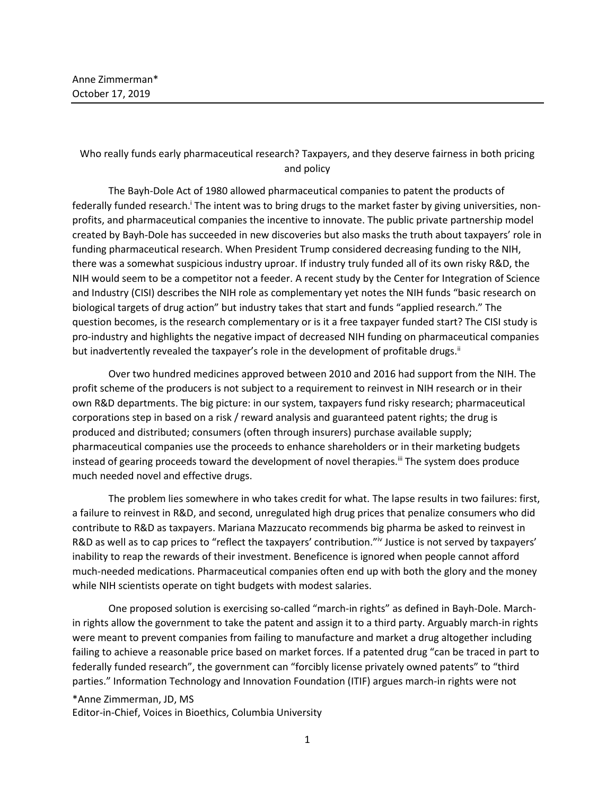## Who really funds early pharmaceutical research? Taxpayers, and they deserve fairness in both pricing and policy

The Bayh-Dole Act of 1980 allowed pharmaceutical companies to patent the products of federally funded research.<sup>i</sup> The intent was to bring drugs to the market faster by giving universities, nonprofits, and pharmaceutical companies the incentive to innovate. The public private partnership model created by Bayh-Dole has succeeded in new discoveries but also masks the truth about taxpayers' role in funding pharmaceutical research. When President Trump considered decreasing funding to the NIH, there was a somewhat suspicious industry uproar. If industry truly funded all of its own risky R&D, the NIH would seem to be a competitor not a feeder. A recent study by the Center for Integration of Science and Industry (CISI) describes the NIH role as complementary yet notes the NIH funds "basic research on biological targets of drug action" but industry takes that start and funds "applied research." The question becomes, is the research complementary or is it a free taxpayer funded start? The CISI study is pro-industry and highlights the negative impact of decreased NIH funding on pharmaceutical companies but inadvertently revealed the taxpayer's role in the development of profitable drugs.<sup>ii</sup>

Over two hundred medicines approved between 2010 and 2016 had support from the NIH. The profit scheme of the producers is not subject to a requirement to reinvest in NIH research or in their own R&D departments. The big picture: in our system, taxpayers fund risky research; pharmaceutical corporations step in based on a risk / reward analysis and guaranteed patent rights; the drug is produced and distributed; consumers (often through insurers) purchase available supply; pharmaceutical companies use the proceeds to enhance shareholders or in their marketing budgets instead of gearing proceeds toward the development of novel therapies.<sup>iii</sup> The system does produce much needed novel and effective drugs.

The problem lies somewhere in who takes credit for what. The lapse results in two failures: first, a failure to reinvest in R&D, and second, unregulated high drug prices that penalize consumers who did contribute to R&D as taxpayers. Mariana Mazzucato recommends big pharma be asked to reinvest in R&D as well as to cap prices to "reflect the taxpayers' contribution."<sup>iv</sup> Justice is not served by taxpayers' inability to reap the rewards of their investment. Beneficence is ignored when people cannot afford much-needed medications. Pharmaceutical companies often end up with both the glory and the money while NIH scientists operate on tight budgets with modest salaries.

One proposed solution is exercising so-called "march-in rights" as defined in Bayh-Dole. Marchin rights allow the government to take the patent and assign it to a third party. Arguably march-in rights were meant to prevent companies from failing to manufacture and market a drug altogether including failing to achieve a reasonable price based on market forces. If a patented drug "can be traced in part to federally funded research", the government can "forcibly license privately owned patents" to "third parties." Information Technology and Innovation Foundation (ITIF) argues march-in rights were not

## \*Anne Zimmerman, JD, MS

Editor-in-Chief, Voices in Bioethics, Columbia University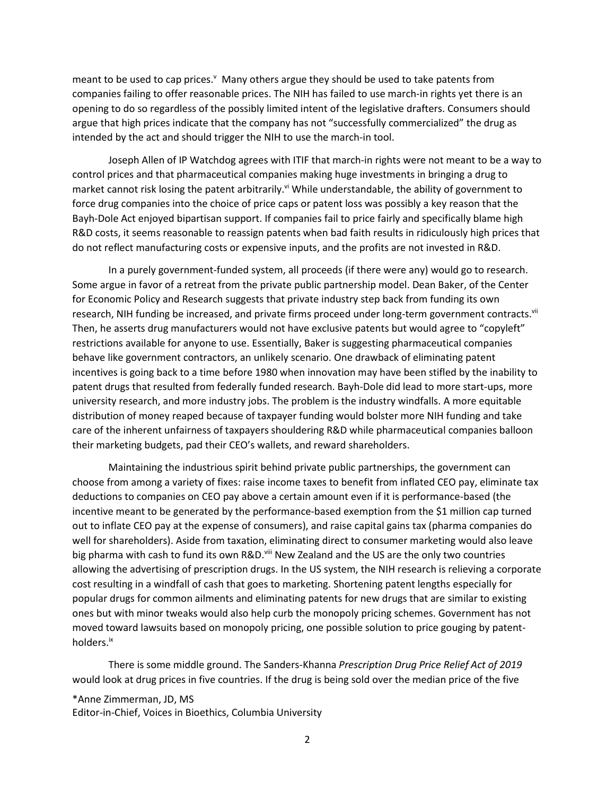meant to be used to cap prices. $\mathbf{v}$  Many others argue they should be used to take patents from companies failing to offer reasonable prices. The NIH has failed to use march-in rights yet there is an opening to do so regardless of the possibly limited intent of the legislative drafters. Consumers should argue that high prices indicate that the company has not "successfully commercialized" the drug as intended by the act and should trigger the NIH to use the march-in tool.

Joseph Allen of IP Watchdog agrees with ITIF that march-in rights were not meant to be a way to control prices and that pharmaceutical companies making huge investments in bringing a drug to market cannot risk losing the patent arbitrarily.<sup>vi</sup> While understandable, the ability of government to force drug companies into the choice of price caps or patent loss was possibly a key reason that the Bayh-Dole Act enjoyed bipartisan support. If companies fail to price fairly and specifically blame high R&D costs, it seems reasonable to reassign patents when bad faith results in ridiculously high prices that do not reflect manufacturing costs or expensive inputs, and the profits are not invested in R&D.

In a purely government-funded system, all proceeds (if there were any) would go to research. Some argue in favor of a retreat from the private public partnership model. Dean Baker, of the Center for Economic Policy and Research suggests that private industry step back from funding its own research, NIH funding be increased, and private firms proceed under long-term government contracts.<sup>vii</sup> Then, he asserts drug manufacturers would not have exclusive patents but would agree to "copyleft" restrictions available for anyone to use. Essentially, Baker is suggesting pharmaceutical companies behave like government contractors, an unlikely scenario. One drawback of eliminating patent incentives is going back to a time before 1980 when innovation may have been stifled by the inability to patent drugs that resulted from federally funded research. Bayh-Dole did lead to more start-ups, more university research, and more industry jobs. The problem is the industry windfalls. A more equitable distribution of money reaped because of taxpayer funding would bolster more NIH funding and take care of the inherent unfairness of taxpayers shouldering R&D while pharmaceutical companies balloon their marketing budgets, pad their CEO's wallets, and reward shareholders.

Maintaining the industrious spirit behind private public partnerships, the government can choose from among a variety of fixes: raise income taxes to benefit from inflated CEO pay, eliminate tax deductions to companies on CEO pay above a certain amount even if it is performance-based (the incentive meant to be generated by the performance-based exemption from the \$1 million cap turned out to inflate CEO pay at the expense of consumers), and raise capital gains tax (pharma companies do well for shareholders). Aside from taxation, eliminating direct to consumer marketing would also leave big pharma with cash to fund its own R&D.<sup>viii</sup> New Zealand and the US are the only two countries allowing the advertising of prescription drugs. In the US system, the NIH research is relieving a corporate cost resulting in a windfall of cash that goes to marketing. Shortening patent lengths especially for popular drugs for common ailments and eliminating patents for new drugs that are similar to existing ones but with minor tweaks would also help curb the monopoly pricing schemes. Government has not moved toward lawsuits based on monopoly pricing, one possible solution to price gouging by patentholders. ix

There is some middle ground. The Sanders-Khanna *Prescription Drug Price Relief Act of 2019* would look at drug prices in five countries. If the drug is being sold over the median price of the five

\*Anne Zimmerman, JD, MS Editor-in-Chief, Voices in Bioethics, Columbia University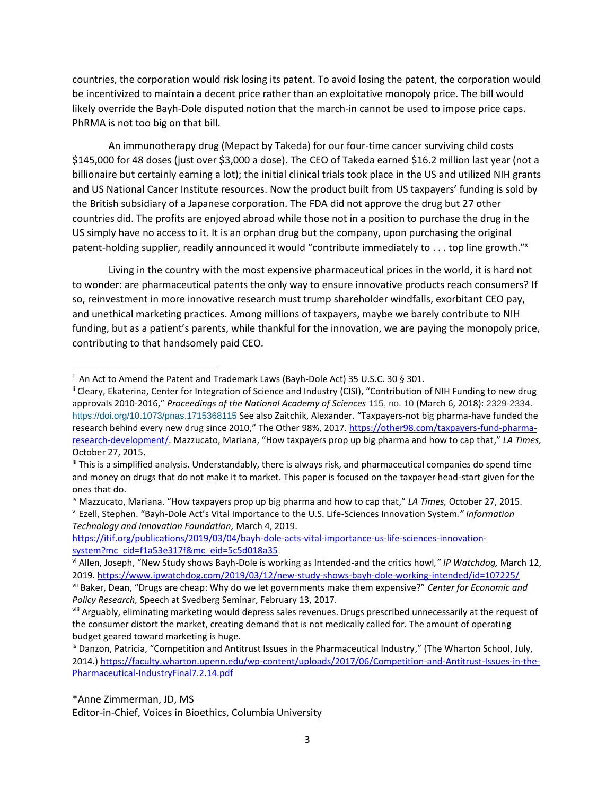countries, the corporation would risk losing its patent. To avoid losing the patent, the corporation would be incentivized to maintain a decent price rather than an exploitative monopoly price. The bill would likely override the Bayh-Dole disputed notion that the march-in cannot be used to impose price caps. PhRMA is not too big on that bill.

An immunotherapy drug (Mepact by Takeda) for our four-time cancer surviving child costs \$145,000 for 48 doses (just over \$3,000 a dose). The CEO of Takeda earned \$16.2 million last year (not a billionaire but certainly earning a lot); the initial clinical trials took place in the US and utilized NIH grants and US National Cancer Institute resources. Now the product built from US taxpayers' funding is sold by the British subsidiary of a Japanese corporation. The FDA did not approve the drug but 27 other countries did. The profits are enjoyed abroad while those not in a position to purchase the drug in the US simply have no access to it. It is an orphan drug but the company, upon purchasing the original patent-holding supplier, readily announced it would "contribute immediately to . . . top line growth."<sup>x</sup>

Living in the country with the most expensive pharmaceutical prices in the world, it is hard not to wonder: are pharmaceutical patents the only way to ensure innovative products reach consumers? If so, reinvestment in more innovative research must trump shareholder windfalls, exorbitant CEO pay, and unethical marketing practices. Among millions of taxpayers, maybe we barely contribute to NIH funding, but as a patient's parents, while thankful for the innovation, we are paying the monopoly price, contributing to that handsomely paid CEO.

<sup>v</sup> Ezell, Stephen. "Bayh-Dole Act's Vital Importance to the U.S. Life-Sciences Innovation System*." Information Technology and Innovation Foundation,* March 4, 2019.

[https://itif.org/publications/2019/03/04/bayh-dole-acts-vital-importance-us-life-sciences-innovation](https://itif.org/publications/2019/03/04/bayh-dole-acts-vital-importance-us-life-sciences-innovation-system?mc_cid=f1a53e317f&mc_eid=5c5d018a35)[system?mc\\_cid=f1a53e317f&mc\\_eid=5c5d018a35](https://itif.org/publications/2019/03/04/bayh-dole-acts-vital-importance-us-life-sciences-innovation-system?mc_cid=f1a53e317f&mc_eid=5c5d018a35)

\*Anne Zimmerman, JD, MS

Editor-in-Chief, Voices in Bioethics, Columbia University

<sup>i</sup> An Act to Amend the Patent and Trademark Laws (Bayh-Dole Act) [35 U.S.C.](https://www.google.com/search?safe=active&rlz=1C1JZAP_enUS813US813&sxsrf=ACYBGNSc1IKa_xWQOTyU0OoXBjdyY4OQHw:1571259620444&q=35+U.S.C.&stick=H4sIAAAAAAAAAONgVuLSz9U3MLIws0iJX8TKaWyqEKoXrOesBwAsqbW4GgAAAA&sa=X&ved=2ahUKEwir45qc1qHlAhWFd98KHSkjAAYQmxMoATAVegQIDBAL) 30 § 301.

ii Cleary, Ekaterina, Center for Integration of Science and Industry (CISI), "Contribution of NIH Funding to new drug approvals 2010-2016," *Proceedings of the National Academy of Sciences* 115, no. 10 (March 6, 2018): 2329-2334. <https://doi.org/10.1073/pnas.1715368115> See also Zaitchik, Alexander. "Taxpayers-not big pharma-have funded the research behind every new drug since 2010," The Other 98%, 2017. [https://other98.com/taxpayers-fund-pharma](https://other98.com/taxpayers-fund-pharma-research-development/)[research-development/.](https://other98.com/taxpayers-fund-pharma-research-development/) Mazzucato, Mariana, "How taxpayers prop up big pharma and how to cap that," *LA Times,* October 27, 2015.

iii This is a simplified analysis. Understandably, there is always risk, and pharmaceutical companies do spend time and money on drugs that do not make it to market. This paper is focused on the taxpayer head-start given for the ones that do.

iv Mazzucato, Mariana. "How taxpayers prop up big pharma and how to cap that," *LA Times,* October 27, 2015.

vi Allen, Joseph, "New Study shows Bayh-Dole is working as Intended-and the critics howl*," IP Watchdog,* March 12, 2019. <https://www.ipwatchdog.com/2019/03/12/new-study-shows-bayh-dole-working-intended/id=107225/>

vii Baker, Dean, "Drugs are cheap: Why do we let governments make them expensive?" *Center for Economic and Policy Research,* Speech at Svedberg Seminar, February 13, 2017.

viii Arguably, eliminating marketing would depress sales revenues. Drugs prescribed unnecessarily at the request of the consumer distort the market, creating demand that is not medically called for. The amount of operating budget geared toward marketing is huge.

<sup>&</sup>lt;sup>ix</sup> Danzon, Patricia, "Competition and Antitrust Issues in the Pharmaceutical Industry," (The Wharton School, July, 2014.) [https://faculty.wharton.upenn.edu/wp-content/uploads/2017/06/Competition-and-Antitrust-Issues-in-the-](https://faculty.wharton.upenn.edu/wp-content/uploads/2017/06/Competition-and-Antitrust-Issues-in-the-Pharmaceutical-IndustryFinal7.2.14.pdf)[Pharmaceutical-IndustryFinal7.2.14.pdf](https://faculty.wharton.upenn.edu/wp-content/uploads/2017/06/Competition-and-Antitrust-Issues-in-the-Pharmaceutical-IndustryFinal7.2.14.pdf)